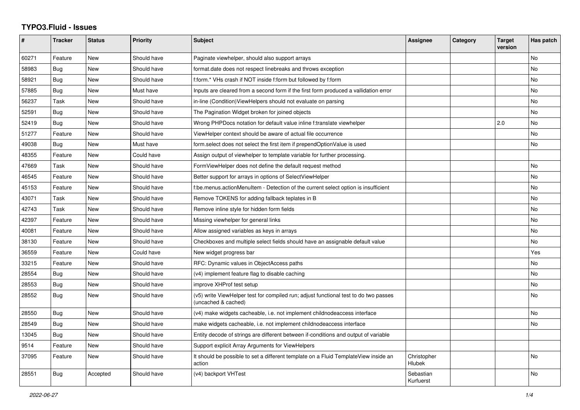## **TYPO3.Fluid - Issues**

| #     | Tracker    | <b>Status</b> | <b>Priority</b> | <b>Subject</b>                                                                                              | Assignee                     | Category | <b>Target</b><br>version | Has patch |
|-------|------------|---------------|-----------------|-------------------------------------------------------------------------------------------------------------|------------------------------|----------|--------------------------|-----------|
| 60271 | Feature    | <b>New</b>    | Should have     | Paginate viewhelper, should also support arrays                                                             |                              |          |                          | <b>No</b> |
| 58983 | Bug        | <b>New</b>    | Should have     | format.date does not respect linebreaks and throws exception                                                |                              |          |                          | No        |
| 58921 | Bug        | New           | Should have     | f:form.* VHs crash if NOT inside f:form but followed by f:form                                              |                              |          |                          | No        |
| 57885 | <b>Bug</b> | <b>New</b>    | Must have       | Inputs are cleared from a second form if the first form produced a vallidation error                        |                              |          |                          | <b>No</b> |
| 56237 | Task       | New           | Should have     | in-line (Condition) View Helpers should not evaluate on parsing                                             |                              |          |                          | No        |
| 52591 | Bug        | <b>New</b>    | Should have     | The Pagination Widget broken for joined objects                                                             |                              |          |                          | No        |
| 52419 | Bug        | <b>New</b>    | Should have     | Wrong PHPDocs notation for default value inline f:translate viewhelper                                      |                              |          | 2.0                      | No        |
| 51277 | Feature    | New           | Should have     | ViewHelper context should be aware of actual file occurrence                                                |                              |          |                          | <b>No</b> |
| 49038 | Bug        | New           | Must have       | form select does not select the first item if prependOptionValue is used                                    |                              |          |                          | No        |
| 48355 | Feature    | New           | Could have      | Assign output of viewhelper to template variable for further processing.                                    |                              |          |                          |           |
| 47669 | Task       | New           | Should have     | FormViewHelper does not define the default request method                                                   |                              |          |                          | No        |
| 46545 | Feature    | New           | Should have     | Better support for arrays in options of SelectViewHelper                                                    |                              |          |                          | No        |
| 45153 | Feature    | New           | Should have     | f:be.menus.actionMenuItem - Detection of the current select option is insufficient                          |                              |          |                          | No        |
| 43071 | Task       | <b>New</b>    | Should have     | Remove TOKENS for adding fallback teplates in B                                                             |                              |          |                          | <b>No</b> |
| 42743 | Task       | New           | Should have     | Remove inline style for hidden form fields                                                                  |                              |          |                          | No        |
| 42397 | Feature    | New           | Should have     | Missing viewhelper for general links                                                                        |                              |          |                          | No        |
| 40081 | Feature    | New           | Should have     | Allow assigned variables as keys in arrays                                                                  |                              |          |                          | <b>No</b> |
| 38130 | Feature    | <b>New</b>    | Should have     | Checkboxes and multiple select fields should have an assignable default value                               |                              |          |                          | <b>No</b> |
| 36559 | Feature    | New           | Could have      | New widget progress bar                                                                                     |                              |          |                          | Yes       |
| 33215 | Feature    | New           | Should have     | RFC: Dynamic values in ObjectAccess paths                                                                   |                              |          |                          | No        |
| 28554 | Bug        | <b>New</b>    | Should have     | (v4) implement feature flag to disable caching                                                              |                              |          |                          | <b>No</b> |
| 28553 | Bug        | New           | Should have     | improve XHProf test setup                                                                                   |                              |          |                          | No        |
| 28552 | Bug        | New           | Should have     | (v5) write ViewHelper test for compiled run; adjust functional test to do two passes<br>(uncached & cached) |                              |          |                          | No        |
| 28550 | Bug        | <b>New</b>    | Should have     | (v4) make widgets cacheable, i.e. not implement childnodeaccess interface                                   |                              |          |                          | <b>No</b> |
| 28549 | Bug        | <b>New</b>    | Should have     | make widgets cacheable, i.e. not implement childnodeaccess interface                                        |                              |          |                          | <b>No</b> |
| 13045 | Bug        | New           | Should have     | Entity decode of strings are different between if-conditions and output of variable                         |                              |          |                          |           |
| 9514  | Feature    | New           | Should have     | Support explicit Array Arguments for ViewHelpers                                                            |                              |          |                          |           |
| 37095 | Feature    | <b>New</b>    | Should have     | It should be possible to set a different template on a Fluid TemplateView inside an<br>action               | Christopher<br><b>Hlubek</b> |          |                          | <b>No</b> |
| 28551 | Bug        | Accepted      | Should have     | (v4) backport VHTest                                                                                        | Sebastian<br>Kurfuerst       |          |                          | <b>No</b> |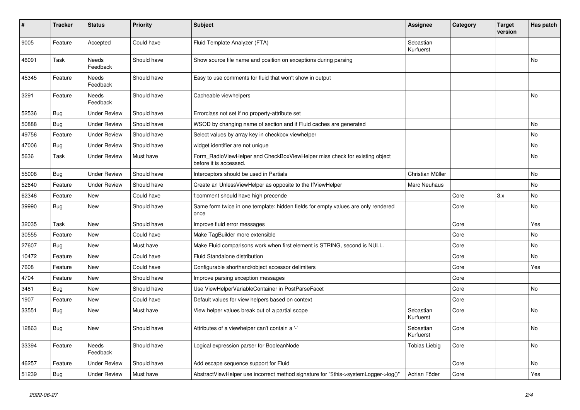| #     | <b>Tracker</b> | <b>Status</b>            | <b>Priority</b> | <b>Subject</b>                                                                                       | Assignee               | Category | <b>Target</b><br>version | Has patch |
|-------|----------------|--------------------------|-----------------|------------------------------------------------------------------------------------------------------|------------------------|----------|--------------------------|-----------|
| 9005  | Feature        | Accepted                 | Could have      | Fluid Template Analyzer (FTA)                                                                        | Sebastian<br>Kurfuerst |          |                          |           |
| 46091 | Task           | Needs<br>Feedback        | Should have     | Show source file name and position on exceptions during parsing                                      |                        |          |                          | No        |
| 45345 | Feature        | Needs<br>Feedback        | Should have     | Easy to use comments for fluid that won't show in output                                             |                        |          |                          |           |
| 3291  | Feature        | Needs<br>Feedback        | Should have     | Cacheable viewhelpers                                                                                |                        |          |                          | <b>No</b> |
| 52536 | <b>Bug</b>     | <b>Under Review</b>      | Should have     | Errorclass not set if no property-attribute set                                                      |                        |          |                          |           |
| 50888 | <b>Bug</b>     | <b>Under Review</b>      | Should have     | WSOD by changing name of section and if Fluid caches are generated                                   |                        |          |                          | No        |
| 49756 | Feature        | <b>Under Review</b>      | Should have     | Select values by array key in checkbox viewhelper                                                    |                        |          |                          | No        |
| 47006 | <b>Bug</b>     | <b>Under Review</b>      | Should have     | widget identifier are not unique                                                                     |                        |          |                          | No.       |
| 5636  | Task           | <b>Under Review</b>      | Must have       | Form_RadioViewHelper and CheckBoxViewHelper miss check for existing object<br>before it is accessed. |                        |          |                          | <b>No</b> |
| 55008 | Bug            | <b>Under Review</b>      | Should have     | Interceptors should be used in Partials                                                              | Christian Müller       |          |                          | No        |
| 52640 | Feature        | <b>Under Review</b>      | Should have     | Create an UnlessViewHelper as opposite to the IfViewHelper                                           | <b>Marc Neuhaus</b>    |          |                          | No        |
| 62346 | Feature        | New                      | Could have      | f:comment should have high precende                                                                  |                        | Core     | 3.x                      | No        |
| 39990 | <b>Bug</b>     | New                      | Should have     | Same form twice in one template: hidden fields for empty values are only rendered<br>once            |                        | Core     |                          | No        |
| 32035 | Task           | New                      | Should have     | Improve fluid error messages                                                                         |                        | Core     |                          | Yes       |
| 30555 | Feature        | <b>New</b>               | Could have      | Make TagBuilder more extensible                                                                      |                        | Core     |                          | No        |
| 27607 | Bug            | <b>New</b>               | Must have       | Make Fluid comparisons work when first element is STRING, second is NULL.                            |                        | Core     |                          | No        |
| 10472 | Feature        | <b>New</b>               | Could have      | Fluid Standalone distribution                                                                        |                        | Core     |                          | No.       |
| 7608  | Feature        | <b>New</b>               | Could have      | Configurable shorthand/object accessor delimiters                                                    |                        | Core     |                          | Yes       |
| 4704  | Feature        | <b>New</b>               | Should have     | Improve parsing exception messages                                                                   |                        | Core     |                          |           |
| 3481  | <b>Bug</b>     | New                      | Should have     | Use ViewHelperVariableContainer in PostParseFacet                                                    |                        | Core     |                          | No        |
| 1907  | Feature        | <b>New</b>               | Could have      | Default values for view helpers based on context                                                     |                        | Core     |                          |           |
| 33551 | <b>Bug</b>     | New                      | Must have       | View helper values break out of a partial scope                                                      | Sebastian<br>Kurfuerst | Core     |                          | No        |
| 12863 | Bug            | New                      | Should have     | Attributes of a viewhelper can't contain a '-'                                                       | Sebastian<br>Kurfuerst | Core     |                          | No        |
| 33394 | Feature        | <b>Needs</b><br>Feedback | Should have     | Logical expression parser for BooleanNode                                                            | Tobias Liebig          | Core     |                          | No        |
| 46257 | Feature        | <b>Under Review</b>      | Should have     | Add escape sequence support for Fluid                                                                |                        | Core     |                          | <b>No</b> |
| 51239 | <b>Bug</b>     | <b>Under Review</b>      | Must have       | AbstractViewHelper use incorrect method signature for "\$this->systemLogger->log()"                  | Adrian Föder           | Core     |                          | Yes       |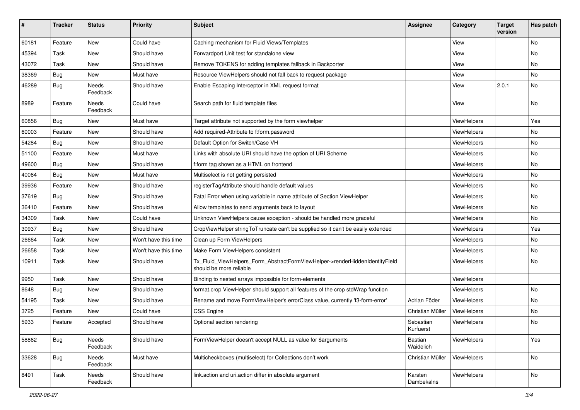| #     | <b>Tracker</b> | <b>Status</b>     | <b>Priority</b>      | Subject                                                                                                | <b>Assignee</b>        | Category           | <b>Target</b><br>version | Has patch |
|-------|----------------|-------------------|----------------------|--------------------------------------------------------------------------------------------------------|------------------------|--------------------|--------------------------|-----------|
| 60181 | Feature        | New               | Could have           | Caching mechanism for Fluid Views/Templates                                                            |                        | View               |                          | <b>No</b> |
| 45394 | Task           | New               | Should have          | Forwardport Unit test for standalone view                                                              |                        | View               |                          | No        |
| 43072 | Task           | New               | Should have          | Remove TOKENS for adding templates fallback in Backporter                                              |                        | View               |                          | No        |
| 38369 | Bug            | New               | Must have            | Resource ViewHelpers should not fall back to request package                                           |                        | View               |                          | No        |
| 46289 | <b>Bug</b>     | Needs<br>Feedback | Should have          | Enable Escaping Interceptor in XML request format                                                      |                        | View               | 2.0.1                    | No        |
| 8989  | Feature        | Needs<br>Feedback | Could have           | Search path for fluid template files                                                                   |                        | View               |                          | No        |
| 60856 | <b>Bug</b>     | New               | Must have            | Target attribute not supported by the form viewhelper                                                  |                        | ViewHelpers        |                          | Yes       |
| 60003 | Feature        | New               | Should have          | Add required-Attribute to f:form.password                                                              |                        | ViewHelpers        |                          | No        |
| 54284 | <b>Bug</b>     | New               | Should have          | Default Option for Switch/Case VH                                                                      |                        | ViewHelpers        |                          | No        |
| 51100 | Feature        | New               | Must have            | Links with absolute URI should have the option of URI Scheme                                           |                        | ViewHelpers        |                          | No        |
| 49600 | Bug            | New               | Should have          | f:form tag shown as a HTML on frontend                                                                 |                        | ViewHelpers        |                          | No        |
| 40064 | <b>Bug</b>     | <b>New</b>        | Must have            | Multiselect is not getting persisted                                                                   |                        | <b>ViewHelpers</b> |                          | No        |
| 39936 | Feature        | New               | Should have          | registerTagAttribute should handle default values                                                      |                        | ViewHelpers        |                          | No        |
| 37619 | <b>Bug</b>     | New               | Should have          | Fatal Error when using variable in name attribute of Section ViewHelper                                |                        | ViewHelpers        |                          | No        |
| 36410 | Feature        | New               | Should have          | Allow templates to send arguments back to layout                                                       |                        | ViewHelpers        |                          | No        |
| 34309 | Task           | New               | Could have           | Unknown ViewHelpers cause exception - should be handled more graceful                                  |                        | <b>ViewHelpers</b> |                          | No        |
| 30937 | <b>Bug</b>     | New               | Should have          | CropViewHelper stringToTruncate can't be supplied so it can't be easily extended                       |                        | ViewHelpers        |                          | Yes       |
| 26664 | Task           | New               | Won't have this time | Clean up Form ViewHelpers                                                                              |                        | ViewHelpers        |                          | No        |
| 26658 | Task           | New               | Won't have this time | Make Form ViewHelpers consistent                                                                       |                        | ViewHelpers        |                          | No        |
| 10911 | Task           | New               | Should have          | Tx_Fluid_ViewHelpers_Form_AbstractFormViewHelper->renderHiddenIdentityField<br>should be more reliable |                        | ViewHelpers        |                          | No        |
| 9950  | Task           | New               | Should have          | Binding to nested arrays impossible for form-elements                                                  |                        | ViewHelpers        |                          |           |
| 8648  | Bug            | New               | Should have          | format.crop ViewHelper should support all features of the crop stdWrap function                        |                        | ViewHelpers        |                          | No        |
| 54195 | Task           | New               | Should have          | Rename and move FormViewHelper's errorClass value, currently 'f3-form-error'                           | Adrian Föder           | ViewHelpers        |                          | No        |
| 3725  | Feature        | <b>New</b>        | Could have           | <b>CSS Engine</b>                                                                                      | Christian Müller       | ViewHelpers        |                          | <b>No</b> |
| 5933  | Feature        | Accepted          | Should have          | Optional section rendering                                                                             | Sebastian<br>Kurfuerst | ViewHelpers        |                          | No        |
| 58862 | <b>Bug</b>     | Needs<br>Feedback | Should have          | FormViewHelper doesn't accept NULL as value for \$arguments                                            | Bastian<br>Waidelich   | ViewHelpers        |                          | Yes       |
| 33628 | Bug            | Needs<br>Feedback | Must have            | Multicheckboxes (multiselect) for Collections don't work                                               | Christian Müller       | ViewHelpers        |                          | No        |
| 8491  | Task           | Needs<br>Feedback | Should have          | link.action and uri.action differ in absolute argument                                                 | Karsten<br>Dambekalns  | ViewHelpers        |                          | No        |